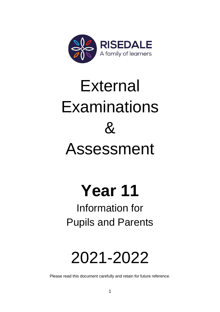

# External Examinations  $\mathcal{S}_{\mathbf{z}}$ Assessment

# **Year 11**

# Information for Pupils and Parents

# 2021-2022

Please read this document carefully and retain for future reference.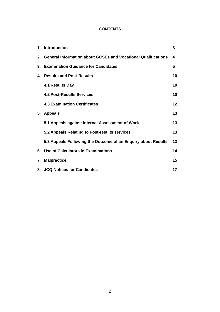# **CONTENTS**

|    | 1. Introduction                                                  | 3  |
|----|------------------------------------------------------------------|----|
|    | 2. General Information about GCSEs and Vocational Qualifications | 4  |
|    | 3. Examination Guidance for Candidates                           | 5  |
| 4. | <b>Results and Post-Results</b>                                  | 10 |
|    | 4.1 Results Day                                                  | 10 |
|    | <b>4.2 Post-Results Services</b>                                 | 10 |
|    | <b>4.3 Examination Certificates</b>                              | 12 |
| 5. | <b>Appeals</b>                                                   | 13 |
|    | 5.1 Appeals against Internal Assessment of Work                  | 13 |
|    | 5.2 Appeals Relating to Post-results services                    | 13 |
|    | 5.3 Appeals Following the Outcome of an Enquiry about Results    | 13 |
|    | 6. Use of Calculators in Examinations                            | 14 |
| 7. | <b>Malpractice</b>                                               | 15 |
|    | 8. JCQ Notices for Candidates                                    | 17 |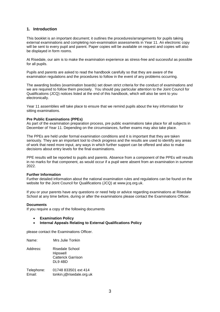# **1. Introduction**

This booklet is an important document; it outlines the procedures/arrangements for pupils taking external examinations and completing non-examination assessments in Year 11. An electronic copy will be sent to every pupil and parent. Paper copies will be available on request and copies will also be displayed in form rooms.

At Risedale, our aim is to make the examination experience as stress-free and successful as possible for all pupils.

Pupils and parents are asked to read the handbook carefully so that they are aware of the examination regulations and the procedures to follow in the event of any problems occurring.

The awarding bodies (examination boards) set down strict criteria for the conduct of examinations and we are required to follow them precisely. You should pay particular attention to the Joint Council for Qualifications (JCQ) notices listed at the end of this handbook, which will also be sent to you electronically.

Year 11 assemblies will take place to ensure that we remind pupils about the key information for sitting examinations.

#### **Pre Public Examinations (PPEs)**

As part of the examination preparation process, pre public examinations take place for all subjects in December of Year 11. Depending on the circumstances, further exams may also take place.

The PPEs are held under formal examination conditions and it is important that they are taken seriously. They are an important tool to check progress and the results are used to identify any areas of work that need more input, any ways in which further support can be offered and also to make decisions about entry levels for the final examinations.

PPE results will be reported to pupils and parents. Absence from a component of the PPEs will results in no marks for that component, as would occur if a pupil were absent from an examination in summer 2022.

#### **Further Information**

Further detailed information about the national examination rules and regulations can be found on the website for the Joint Council for Qualifications (JCQ) at www.jcq.org.uk.

If you or your parents have any questions or need help or advice regarding examinations at Risedale School at any time before, during or after the examinations please contact the Examinations Officer.

#### **Documents**

If you require a copy of the following documents

- **Examination Policy**
- **Internal Appeals Relating to External Qualifications Policy**

please contact the Examinations Officer.

| Name:                | Mrs Julie Tonkin                                                    |
|----------------------|---------------------------------------------------------------------|
| Address:             | Risedale School<br>Hipswell<br><b>Catterick Garrison</b><br>DL9 4BD |
| Telephone:<br>Email: | 01748 833501 ext 414<br>tonkin.j@risedale.org.uk                    |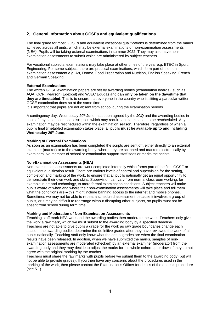# **2. General Information about GCSEs and equivalent qualifications**

The final grade for most GCSEs and equivalent vocational qualifications is determined from the marks achieved across all units, which may be external examinations or non-examination assessments (NEA). Pupils will be taking external examinations in summer 2022. They may also have nonexamination assessments to submit which are administered by subject teachers.

For vocational subjects, examinations may take place at other times of the year e.g. BTEC in Sport, Engineering. For some subjects there are practical examinations, which form part of the nonexamination assessment e.g. Art, Drama, Food Preparation and Nutrition, English Speaking, French and German Speaking.

# **External Examinations**

The written GCSE examination papers are set by awarding bodies (examination boards), such as AQA, OCR, Pearson (Edexcel) and WJEC Eduqas and **can only be taken on the days/time that they are timetabled**. This is to ensure that everyone in the country who is sitting a particular written GCSE examination does so at the same time.

It is important that pupils are not absent from school during the examination periods.

A contingency day, Wednesday 29<sup>th</sup> June, has been agreed by the JCQ and the awarding bodies in case of any national or local disruption which may require an examination to be rescheduled. Any examination may be rescheduled within the examination season. Therefore, regardless of when a pupil's final timetabled examination takes place, all pupils **must be available up to and including Wednesday 29th June**.

# **Marking of External Examinations**

As soon as an examination has been completed the scripts are sent off, either directly to an external examiner (marker) or to the awarding body, where they are scanned and marked electronically by examiners. No member of school or examination support staff sees or marks the scripts.

# **Non-Examination Assessments (NEA)**

Non-examination assessments are work completed internally which forms part of the final GCSE or equivalent qualification result. There are various levels of control and supervision for the setting, completion and marking of the work, to ensure that all pupils nationally get an equal opportunity to demonstrate their own work and skills. Supervision can vary from normal classroom working, for example in art and technology, to more formal examination conditions. Subject teachers will make pupils aware of when and where their non-examination assessments will take place and tell them what the conditions are – this might include banning access to the internet and mobile phones. Sometimes we may not be able to repeat a scheduled assessment because it involves a group of pupils, or it may be difficult to rearrange without disrupting other subjects, so pupils must not be absent from school during term time.

# **Marking and Moderation of Non-Examination Assessments**

Teaching staff mark NEA work and the awarding bodies then moderate the work. Teachers only give the work a raw mark, which we must submit to the awarding body by a specified deadline. Teachers are not able to give pupils a grade for the work as raw grade boundaries change each season; the awarding bodies determine the definitive grades after they have reviewed the work of all pupils nationally. Teaching staff only know what the actual grades are when the final examination results have been released. In addition, when we have submitted the marks, samples of nonexamination assessments are moderated (checked) by an external examiner (moderator) from the awarding body and they may decide to adjust the marks for the whole cohort up or down if they do not agree with the original marking by the teacher.

Teachers must share the raw marks with pupils before we submit them to the awarding body (but will not be able to provide grades). If you then have any concerns about the procedures used in the marking of the work, then please contact the Examinations Officer for details of the appeals procedure (see 5.1).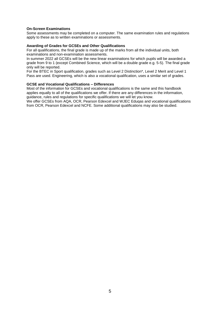# **On-Screen Examinations**

Some assessments may be completed on a computer. The same examination rules and regulations apply to these as to written examinations or assessments.

#### **Awarding of Grades for GCSEs and Other Qualifications**

For all qualifications, the final grade is made up of the marks from all the individual units, both examinations and non-examination assessments.

In summer 2022 all GCSEs will be the new linear examinations for which pupils will be awarded a grade from 9 to 1 (except Combined Science, which will be a double grade e.g. 5-5). The final grade only will be reported.

For the BTEC in Sport qualification, grades such as Level 2 Distinction\*, Level 2 Merit and Level 1 Pass are used. Engineering, which is also a vocational qualification, uses a similar set of grades.

#### **GCSE and Vocational Qualifications – Differences**

Most of the information for GCSEs and vocational qualifications is the same and this handbook applies equally to all of the qualifications we offer. If there are any differences in the information, guidance, rules and regulations for specific qualifications we will let you know.

We offer GCSEs from AQA, OCR, Pearson Edexcel and WJEC Eduqas and vocational qualifications from OCR, Pearson Edexcel and NCFE. Some additional qualifications may also be studied.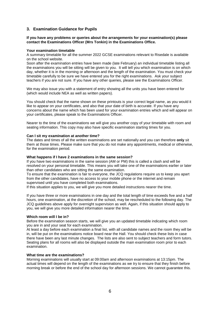# **3. Examination Guidance for Pupils**

#### **If you have any problems or queries about the arrangements for your examination(s) please contact the Examinations Officer (Mrs Tonkin) in the Examinations Office.**

#### **Your examination timetable**

A summary timetable for all the summer 2022 GCSE examinations relevant to Risedale is available on the school website.

Soon after the examination entries have been made (late February) an individual timetable listing all the examinations you will be sitting will be given to you. It will tell you which examination is on which day, whether it is in the morning or afternoon and the length of the examination. You must check your timetable carefully to be sure we have entered you for the right examinations. Ask your subject teachers if you are not sure. If you have any other queries, please see the Examinations Officer.

We may also issue you with a statement of entry showing all the units you have been entered for (which would include NEA as well as written papers).

You should check that the name shown on these printouts is your correct legal name, as you would it like to appear on your certificates, and also that your date of birth is accurate. If you have any concerns about the name which has been used for your examination entries which and will appear on your certificates, please speak to the Examinations Officer.

Nearer to the time of the examinations we will give you another copy of your timetable with room and seating information. This copy may also have specific examination starting times for you.

#### **Can I sit my examination at another time?**

The dates and times of all the written examinations are set nationally and you can therefore **only** sit them at those times. Please make sure that you do not make any appointments, medical or otherwise, for the examination period.

#### **What happens if I have 2 examinations in the same session?**

If you have two examinations in the same session (AM or PM) this is called a clash and will be resolved on your personal timetable. This means you will take one of the examinations earlier or later than other candidates who are sitting the same examination.

To ensure that the examination is fair to everyone, the JCQ regulations require us to keep you apart from the other candidates, have no access to your mobile phone or the internet and remain supervised until you have completed both examinations.

If this situation applies to you, we will give you more detailed instructions nearer the time.

If you have three or more examinations in one day and the total length of time exceeds five and a half hours, one examination, at the discretion of the school, may be rescheduled to the following day. The JCQ guidelines above apply for overnight supervision as well. Again, if this situation should apply to you, we will give you more detailed information nearer the time.

# **Which room will I be in?**

Before the examination season starts, we will give you an updated timetable indicating which room you are in and your seat for each examination.

At least a day before each examination a final list, with all candidate names and the room they will be in, will be put on the examinations notice board near the Hall. You should check these lists in case there have been any last minute changes. The lists are also sent to subject teachers and form tutors. Seating plans for all rooms will also be displayed outside the main examination room prior to each examination.

#### **What time are the examinations?**

Morning examinations will usually start at 09:00am and afternoon examinations at 13:15pm. The actual times will depend on the length of the examinations as we try to ensure that they finish before morning break or before the end of the school day for afternoon sessions. We cannot guarantee this.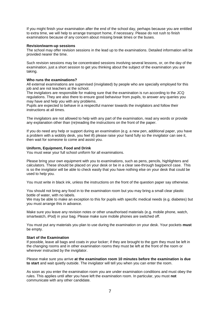If you might finish your examination after the end of the school day, perhaps because you are entitled to extra time, we will help to arrange transport home, if necessary. Please do not rush to finish examinations because of any concern about missing break times or the buses.

#### **Revision/warm-up sessions**

The school may offer revision sessions in the lead up to the examinations. Detailed information will be provided nearer the time.

Such revision sessions may be concentrated sessions involving several lessons, or, on the day of the examination, just a short session to get you thinking about the subject of the examination you are taking.

#### **Who runs the examinations?**

All external examinations are supervised (invigilated) by people who are specially employed for this job and are not teachers at the school.

The invigilators are responsible for making sure that the examination is run according to the JCQ regulations. They are also there to ensure good behaviour from pupils, to answer any queries you may have and help you with any problems.

Pupils are expected to behave in a respectful manner towards the invigilators and follow their instructions at all times.

The invigilators are not allowed to help with any part of the examination, read any words or provide any explanation other than (re)reading the instructions on the front of the paper.

If you do need any help or support during an examination (e.g. a new pen, additional paper, you have a problem with a wobbly desk, you feel ill) please raise your hand fully so the invigilator can see it, then wait for someone to come and assist you.

#### **Uniform, Equipment, Food and Drink**

You must wear your full school uniform for all examinations.

Please bring your own equipment with you to examinations, such as pens, pencils, highlighters and calculators. These should be placed on your desk or be in a clear see-through bag/pencil case. This is so the invigilator will be able to check easily that you have nothing else on your desk that could be used to help you.

You must write in black ink, unless the instructions on the front of the question paper say otherwise.

You should not bring any food in to the examination room but you may bring a small clear plastic bottle of water, with no labels.

We may be able to make an exception to this for pupils with specific medical needs (e.g. diabetes) but you must arrange this in advance.

Make sure you leave any revision notes or other unauthorised materials (e.g. mobile phone, watch, smartwatch, iPod) in your bag. Please make sure mobile phones are switched off.

You must put any materials you plan to use during the examination on your desk. Your pockets **must** be empty.

#### **Start of the Examination**

If possible, leave all bags and coats in your locker; if they are brought to the gym they must be left in the changing rooms and in other examination rooms they must be left at the front of the room or wherever instructed by the invigilator.

Please make sure you arrive **at the examination room 10 minutes before the examination is due to start** and wait quietly outside. The invigilator will tell you when you can enter the room.

As soon as you enter the examination room you are under examination conditions and must obey the rules. This applies until after you have left the examination room. In particular, you must **not** communicate with any other candidate.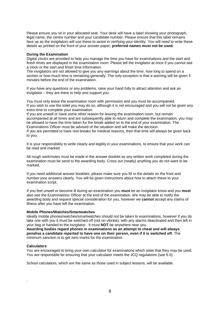Please ensure you sit in your allocated seat. Your desk will have a label showing your photograph, legal name, the centre number and your candidate number. Please ensure that this label remains face up as the invigilators will use these to assist in verifying your identity. You will need to write these details as printed on the front of your answer paper; **preferred names must not be used.**

#### **During the Examination**

Digital clocks are provided to help you manage the time you have for examinations and the start and finish times are displayed in the examination room. Please tell the invigilator at once if you cannot see a clock or the start and finish time information.

The invigilators are not allowed to give you any warnings about the time, how long to spend on a section or how much time is remaining generally. The only exception is that a warning will be given 5 minutes before the end of the examination.

If you have any questions or any problems, raise your hand fully to attract attention and ask an invigilator – they are there to help and support you.

You must only leave the examination room with permission and you must be accompanied. If you wish to use the toilet you may do so, although it is not encouraged and you will not be given any extra time to complete your examination.

If you are unwell or have some other reason for leaving the examination room, but remain accompanied at all times and are subsequently able to return and complete the examination, you may be allowed to have the time taken for the break added on to the end of your examination. The Examinations Officer must be advised of the situation and will make the decision.

If you are permitted to have rest breaks for medical reasons, then that time will always be given back to you.

It is your responsibility to write clearly and legibly in your examinations, to ensure that your work can be read and marked.

All rough work/notes must be made in the answer booklet as any written work completed during the examination must be send to the awarding body. Cross out (neatly) anything you do not want to be marked.

If you need additional answer booklets, please make sure you fill in the details on the front and number your answers clearly. You will be given instructions about how to attach these to your examination script.

If you feel unwell or become ill during an examination you **must** let an invigilator know and you **must** also see the Examinations Officer at the end of the examination. We may be able to notify the awarding body and request special consideration for you, however we **cannot** accept any claims of illness after you have left the examination.

#### **Mobile Phones/Watches/Smartwatches**

Ideally mobile phones/watches/smartwatches should not be taken to examinations, however if you do take one with you it must be switched off (not on vibrate), with any alarms deactivated and then left in your bag or handed to the invigilator. It must **NOT** be anywhere near you.

**Awarding bodies regard phones in examinations as an attempt to cheat and will always penalise a candidate reported to have one on their person, even if it is switched off.** The minimum sanction is to get zero marks for the examination.

#### **Calculators**

.

You are encouraged to bring your own calculator for examinations which state that they may be used. You are responsible for ensuring that your calculator meets the JCQ regulations (see 6.0).

School calculators, which are the same as those used in subject lessons, will be available.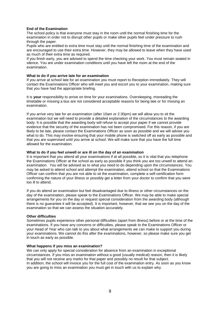#### **End of the Examination**

The school policy is that everyone must stay in the room until the normal finishing time for the examination in order not to disrupt other pupils or make other pupils feel under pressure to rush through the paper.

Pupils who are entitled to extra time must stay until the normal finishing time of the examination and are encouraged to use their extra time. However, they may be allowed to leave when they have used as much of their extra time as required.

If you finish early, you are advised to spend the time checking your work. You must remain seated in silence. You are under examination conditions until you have left the room at the end of the examination.

#### **What to do if you arrive late for an examination**

If you arrive at school late for an examination you must report to Reception immediately. They will contact the Examinations Officer who will meet you and escort you to your examination, making sure that you have had the appropriate briefing.

It is **your** responsibility to arrive on time for your examinations. Oversleeping, misreading the timetable or missing a bus are not considered acceptable reasons for being late or for missing an examination.

If you arrive very late for an examination (after 10am or 2:30pm) we will allow you to sit the examination but we will need to provide a detailed explanation of the circumstances to the awarding body. It is possible that the awarding body will refuse to accept your paper if we cannot provide evidence that the security of the examination has not been compromised. For this reason, if you are likely to be late, please contact the Examinations Officer as soon as possible and we will advise you what to do. This may involve ensuring that your mobile phone is switched off as early as possible and that you are supervised until you arrive at school. We will make sure that you have the full time allowed for the examination.

#### **What to do if you feel unwell or are ill on the day of an examination**

It is important that you attend all your examinations if at all possible, so it is vital that you telephone the Examinations Officer at the school as early as possible if you think you are too unwell to attend an examination. You will be advised as to what you need to do depending upon the circumstances. You may be asked to attend school and attempt the examination, attend school so that the Examinations Officer can confirm that you are not able to sit the examination, complete a self-certification form confirming the nature of your illness or possibly get a letter from your doctor to confirm that you were too ill to attend.

If you do attend an examination but feel disadvantaged due to illness or other circumstances on the day of the examination, please speak to the Examinations Officer. We may be able to make special arrangements for you on the day or request special consideration from the awarding body (although there is no guarantee it will be accepted). It is important, however, that we see you on the day of the examination so that we can assess the situation accurately.

#### **Other difficulties**

Sometimes pupils experience other personal difficulties (apart from illness) before or at the time of the examinations. If you have any concerns or difficulties, please speak to the Examinations Officer or your Head of Year who can talk to you about what arrangements we can make to support you during your examinations. We cannot do this after the examinations, however, so please make sure you get in touch as early as possible.

#### **What happens if you miss an examination?**

We can only apply for special consideration for absence from an examination in exceptional circumstances. If you miss an examination without a good (usually medical) reason, then it is likely that you will not receive any marks for that paper and possibly no result for that subject. In addition, the school will invoice you for the full cost of the examination entry. As soon as you know you are going to miss an examination you must get in touch with us to explain why.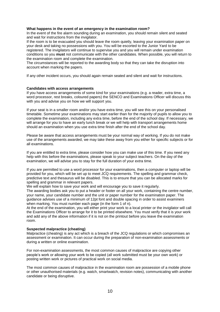#### **What happens in the event of an emergency in the examination room?**

In the event of the fire alarm sounding during an examination, you should remain silent and seated and wait for instructions from the invigilator.

If the room is to be evacuated you should leave the room quietly, leaving your examination paper on your desk and taking no possessions with you. You will be escorted to the Junior Yard to be registered. The invigilators will continue to supervise you and you will remain under examination conditions so you **must** not communicate with the other candidates. When possible, you will return to the examination room and complete the examination.

The circumstances will be reported to the awarding body so that they can take the disruption into account when marking the papers.

If any other incident occurs, you should again remain seated and silent and wait for instructions.

#### **Candidates with access arrangements**

If you have access arrangements of some kind for your examinations (e.g. a reader, extra time, a word processor, rest breaks, coloured papers) the SENCO and Examinations Officer will discuss this with you and advise you on how we will support you.

If your seat is in a smaller room and/or you have extra time, you will see this on your personalised timetable. Sometime your examinations may start earlier than for the majority of pupils to allow you to complete the examination, including any extra time, before the end of the school day. If necessary, we will arrange for you to have an early lunch break or we will help with transport arrangements home should an examination when you use extra time finish after the end of the school day.

Please be aware that access arrangements must be your normal way of working. If you do not make use of the arrangements awarded, we may take these away from you either for specific subjects or for all examinations.

If you are entitled to extra time, please consider how you can make use of this time. If you need any help with this before the examinations, please speak to your subject teachers. On the day of the examination, we will advise you to stay for the full duration of your extra time.

If you are permitted to use a word processor for your examinations, then a computer or laptop will be provided for you, which will be set up to meet JCQ requirements. The spelling and grammar check, predictive text and thesaurus will be disabled. This is to ensure that you can be allocated marks for spelling and grammar in relevant papers.

We will explain how to save your work and will encourage you to save it regularly.

The awarding bodies ask you to put a header or footer on all your work, containing the centre number, your name, your candidate number and the unit or paper number for the examination paper. The guidance advises use of a minimum of 12pt font and double spacing in order to assist examiners when marking. You must number each page (in the form 1 of n).

At the end of the examination, you will either print your work to a local printer or the invigilator will call the Examinations Officer to arrange for it to be printed elsewhere. You must verify that it is your work and add any of the above information if it is not on the printout before you leave the examination room.

#### **Suspected malpractice (cheating)**

Malpractice (cheating) is any act which is a breach of the JCQ regulations or which compromises an assessment or examination. It can occur during the preparation of non-examination assessments or during a written or online examination.

For non-examination assessments, the most common causes of malpractice are copying other people's work or allowing your work to be copied (all work submitted must be your own work) or posting written work or pictures of practical work on social media.

The most common causes of malpractice in the examination room are possession of a mobile phone or other unauthorised materials (e.g. watch, smartwatch, revision notes), communicating with another candidate or being disruptive.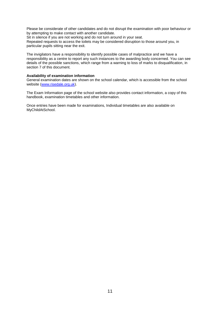Please be considerate of other candidates and do not disrupt the examination with poor behaviour or by attempting to make contact with another candidate.

Sit in silence if you are not working and do not turn around in your seat.

Repeated requests to access the toilets may be considered disruption to those around you, in particular pupils sitting near the exit.

The invigilators have a responsibility to identify possible cases of malpractice and we have a responsibility as a centre to report any such instances to the awarding body concerned. You can see details of the possible sanctions, which range from a warning to loss of marks to disqualification, in section 7 of this document.

#### **Availability of examination information**

General examination dates are shown on the school calendar, which is accessible from the school website [\(www.risedale.org.uk\)](http://www.risedale.org.uk/).

The Exam Information page of the school website also provides contact information, a copy of this handbook, examination timetables and other information.

Once entries have been made for examinations, Individual timetables are also available on MyChildAtSchool.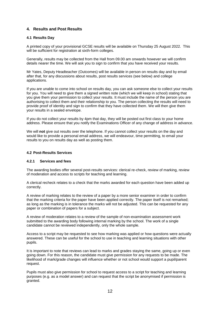# **4. Results and Post Results**

# **4.1 Results Day**

A printed copy of your provisional GCSE results will be available on Thursday 25 August 2022. This will be sufficient for registration at sixth-form colleges.

Generally, results may be collected from the Hall from 09.00 am onwards however we will confirm details nearer the time. We will ask you to sign to confirm that you have received your results.

Mr Yates, Deputy Headteacher (Outcomes) will be available in person on results day and by email after that, for any discussions about results, post results services (see below) and college applications.

If you are unable to come into school on results day, you can ask someone else to collect your results for you. You will need to give them a signed written note (which we will keep in school) stating that you give them your permission to collect your results. It must include the name of the person you are authorising to collect them and their relationship to you. The person collecting the results will need to provide proof of identity and sign to confirm that they have collected them. We will then give them your results in a sealed envelope.

If you do not collect your results by 4pm that day, they will be posted out first class to your home address. Please ensure that you notify the Examinations Officer of any change of address in advance.

We will **not** give out results over the telephone. If you cannot collect your results on the day and would like to provide a personal email address, we will endeavour, time permitting, to email your results to you on results day as well as posting them.

#### **4.2 Post-Results Services**

# **4.2.1 Services and fees**

The awarding bodies offer several post-results services: clerical re-check, review of marking, review of moderation and access to scripts for teaching and learning.

A clerical recheck relates to a check that the marks awarded for each question have been added up correctly.

A review of marking relates to the review of a paper by a more senior examiner in order to confirm that the marking criteria for the paper have been applied correctly. The paper itself is not remarked; as long as the marking is in tolerance the marks will not be adjusted. This can be requested for any paper or combination of papers for a subject.

A review of moderation relates to a review of the sample of non-examination assessment work submitted to the awarding body following internal marking by the school. The work of a single candidate cannot be reviewed independently, only the whole sample.

Access to a script may be requested to see how marking was applied or how questions were actually answered. These can be useful for the school to use in teaching and learning situations with other pupils.

It is important to note that reviews can lead to marks and grades staying the same, going up or even going down. For this reason, the candidate must give permission for any requests to be made. The likelihood of mark/grade changes will influence whether or not school would support a pupil/parent request.

Pupils must also give permission for school to request access to a script for teaching and learning purposes (e.g. as a model answer) and can request that the script be anonymised if permission is granted.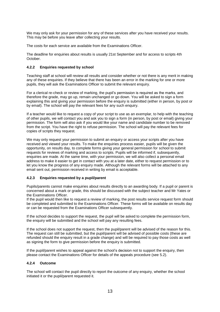We may only ask for your permission for any of these services after you have received your results. This may be before you leave after collecting your results.

The costs for each service are available from the Examinations Officer.

The deadline for enquiries about results is usually 21st September and for access to scripts 4th October.

#### **4.2.2 Enquiries requested by school**

Teaching staff at school will review all results and consider whether or not there is any merit in making any of these enquiries. If they believe that there has been an error in the marking for one or more pupils, they will ask the Examinations Officer to submit the relevant enquiry.

For a clerical re-check or review of marking, the pupil's permission is required as the marks, and therefore the grade, may go up, remain unchanged or go down. You will be asked to sign a form explaining this and giving your permission before the enquiry is submitted (either in person, by post or by email). The school will pay the relevant fees for any such enquiry.

If a teacher would like to request a copy of your script to use as an exemplar, to help with the teaching of other pupils, we will contact you and ask you to sign a form (in person, by post or email) giving your permission. The form will also ask if you would like your name and candidate number to be removed from the script. You have the right to refuse permission. The school will pay the relevant fees for copies of scripts they request.

We may only request your permission to submit an enquiry or access your scripts after you have received and viewed your results. To make the enquiries process easier, pupils will be given the opportunity, on results day, to complete forms giving your general permission for school to submit requests for reviews of marking and access to scripts. Pupils will be informed if, subsequently, enquiries are made. At the same time, with your permission, we will also collect a personal email address to make it easier to get in contact with you at a later date, either to request permission or to let you know the progress of any enquiry made. Although the relevant forms will be attached to any email sent out, permission received in writing by email is acceptable.

# **4.2.3 Enquiries requested by a pupil/parent**

Pupils/parents cannot make enquiries about results directly to an awarding body. If a pupil or parent is concerned about a mark or grade, this should be discussed with the subject teacher and Mr Yates or the Examinations Officer.

If the pupil would then like to request a review of marking, the post results service request form should be completed and submitted to the Examinations Officer. These forms will be available on results day or can be requested from the Examinations Officer subsequently.

If the school decides to support the request, the pupil will be asked to complete the permission form, the enquiry will be submitted and the school will pay any resulting fees.

If the school does not support the request, then the pupil/parent will be advised of the reason for this. The request can still be submitted, but the pupil/parent will be advised of possible costs (these are refunded should the enquiry result in a grade change) and will be required to pay those costs as well as signing the form to give permission before the enquiry is submitted.

If the pupil/parent wishes to appeal against the school's decision not to support the enquiry, then please contact the Examinations Officer for details of the appeals procedure (see 5.2).

#### **4.2.4 Outcome**

The school will contact the pupil directly to report the outcome of any enquiry, whether the school initiated it or the pupil/parent requested it.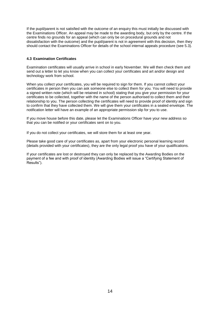If the pupil/parent is not satisfied with the outcome of an enquiry this must initially be discussed with the Examinations Officer. An appeal may be made to the awarding body, but only by the centre. If the centre finds no grounds for an appeal (which can only be on procedural grounds and not dissatisfaction with the outcome) and the pupil/parent is not in agreement with this decision, then they should contact the Examinations Officer for details of the school internal appeals procedure (see 5.3).

#### **4.3 Examination Certificates**

Examination certificates will usually arrive in school in early November. We will then check them and send out a letter to let you know when you can collect your certificates and art and/or design and technology work from school.

When you collect your certificates, you will be required to sign for them. If you cannot collect your certificates in person then you can ask someone else to collect them for you. You will need to provide a signed written note (which will be retained in school) stating that you give your permission for your certificates to be collected, together with the name of the person authorised to collect them and their relationship to you. The person collecting the certificates will need to provide proof of identity and sign to confirm that they have collected them. We will give them your certificates in a sealed envelope. The notification letter will have an example of an appropriate permission slip for you to use.

If you move house before this date, please let the Examinations Officer have your new address so that you can be notified or your certificates sent on to you.

If you do not collect your certificates, we will store them for at least one year.

Please take good care of your certificates as, apart from your electronic personal learning record (details provided with your certificates), they are the only legal proof you have of your qualifications.

If your certificates are lost or destroyed they can only be replaced by the Awarding Bodies on the payment of a fee and with proof of identity (Awarding Bodies will issue a "Certifying Statement of Results").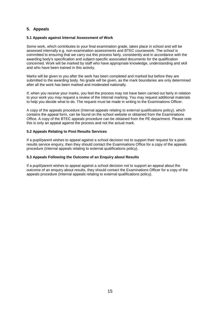# **5. Appeals**

# **5.1 Appeals against Internal Assessment of Work**

Some work, which contributes to your final examination grade, takes place in school and will be assessed internally e.g. non-examination assessments and BTEC coursework. The school is committed to ensuring that we carry out this process fairly, consistently and in accordance with the awarding body's specification and subject-specific associated documents for the qualification concerned. Work will be marked by staff who have appropriate knowledge, understanding and skill and who have been trained in this activity.

Marks will be given to you after the work has been completed and marked but before they are submitted to the awarding body. No grade will be given, as the mark boundaries are only determined after all the work has been marked and moderated nationally.

If, when you receive your marks, you feel the process may not have been carried out fairly in relation to your work you may request a review of the internal marking. You may request additional materials to help you decide what to do. The request must be made in writing to the Examinations Officer.

A copy of the appeals procedure (Internal appeals relating to external qualifications policy), which contains the appeal form, can be found on the school website or obtained from the Examinations Office. A copy of the BTEC appeals procedure can be obtained from the PE department. Please note this is only an appeal against the process and not the actual mark.

#### **5.2 Appeals Relating to Post Results Services**

If a pupil/parent wishes to appeal against a school decision not to support their request for a postresults service enquiry, then they should contact the Examinations Office for a copy of the appeals procedure (Internal appeals relating to external qualifications policy).

#### **5.3 Appeals Following the Outcome of an Enquiry about Results**

If a pupil/parent wishes to appeal against a school decision not to support an appeal about the outcome of an enquiry about results, they should contact the Examinations Officer for a copy of the appeals procedure (Internal appeals relating to external qualifications policy).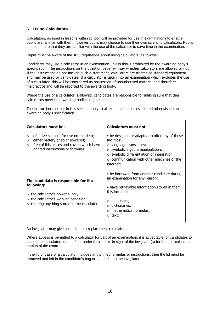# **6. Using Calculators**

Calculators, as used in lessons within school, will be provided for use in examinations to ensure pupils are familiar with them, however pupils may choose to use their own scientific calculators. Pupils should ensure that they are familiar with the use of the calculator to save time in the examination.

Pupils must be aware of the JCQ regulations about using calculators, as follows:

Candidates may use a calculator in an examination unless this is prohibited by the awarding body's specification. The instructions on the question paper will say whether calculators are allowed or not. If the instructions do not include such a statement, calculators are treated as standard equipment and may be used by candidates. If a calculator is taken into an examination which excludes the use of a calculator, this will be considered as possession of unauthorised material and therefore malpractice and will be reported to the awarding body.

Where the use of a calculator is allowed, candidates are responsible for making sure that their calculators meet the awarding bodies' regulations.

The instructions set out in this section apply to all examinations unless stated otherwise in an awarding body's specification.

| Calculators must be:                                                                                                                                                                            | Calculators must not:                                                                                                                                                                                                                                           |
|-------------------------------------------------------------------------------------------------------------------------------------------------------------------------------------------------|-----------------------------------------------------------------------------------------------------------------------------------------------------------------------------------------------------------------------------------------------------------------|
| of a size suitable for use on the desk;<br>$\circ$<br>either battery or solar powered;<br>$\circ$<br>free of lids, cases and covers which have<br>$\Omega$<br>printed instructions or formulas. | • be designed or adapted to offer any of these<br>facilities: -<br>$\circ$ language translators;<br>$\circ$ symbolic algebra manipulation;<br>$\circ$ symbolic differentiation or integration;<br>$\circ$ communication with other machines or the<br>internet; |
| The candidate is responsible for the<br>following:<br>the calculator's power supply;<br>$\circ$ the calculator's working condition;<br>$\circ$ clearing anything stored in the calculator.      | • be borrowed from another candidate during<br>an examination for any reason;<br>• have retrievable information stored in them -<br>this includes:<br>$\circ$ databanks;<br>$\circ$ dictionaries;<br>$\circ$ mathematical formulas;<br>$\circ$ text.            |

An invigilator may give a candidate a replacement calculator.

Where access is permitted to a calculator for part of an examination, it is acceptable for candidates to place their calculators on the floor under their desks in sight of the invigilator(s) for the non-calculator portion of the exam.

If the lid or case of a calculator includes any printed formulas or instructions, then the lid must be removed and left in the candidate's bag or handed in to the invigilator.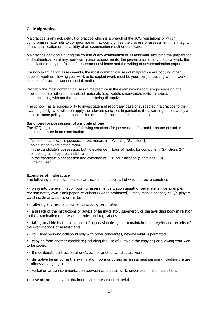# **7. Malpractice**

Malpractice is any act, default or practice which is a breach of the JCQ regulations or which compromises, attempts to compromise or may compromise the process of assessment, the integrity of any qualification or the validity of an examination result or certificate.

Malpractice can occur during the course of any examination or assessment, including the preparation and authentication of any non-examination assessments, the presentation of any practical work, the compilation of any portfolios of assessment evidence and the writing of any examination paper.

For non-examination assessments, the most common causes of malpractice are copying other people's work or allowing your work to be copied (work must be your own) or posting written work or pictures of practical work on social media.

Probably the most common causes of malpractice in the examination room are possession of a mobile phone or other unauthorised materials (e.g. watch, smartwatch, revision notes), communicating with another candidate or being disruptive.

The school has a responsibility to investigate and report any case of suspected malpractice to the awarding body, who will then apply the relevant sanction. In particular, the awarding bodies apply a zero tolerance policy to the possession or use of mobile phones in an examination.

#### **Sanctions for possession of a mobile phone**

The JCQ regulations define the following sanctions for possession of a mobile phone or similar electronic device in an examination.

| Not in the candidate's possession but makes a<br>noise in the examination room      | Warning (Sanction 1)                        |
|-------------------------------------------------------------------------------------|---------------------------------------------|
| In the candidate's possession, but no evidence<br>of it being used by the candidate | Loss of marks for component (Sanctions 2-4) |
| In the candidate's possession and evidence of<br>it being used                      | Disqualification (Sanctions 5-9)            |

# **Examples of malpractice**

The following are all examples of candidate malpractice, all of which attract a sanction:

- **•** bring into the examination room or assessment situation unauthorised material, for example: revision notes, own blank paper, calculators (when prohibited), iPods, mobile phones, MP3/4 players, watches, Smartwatches or similar
- altering any results document, including certificates
- a breach of the instructions or advice of an invigilator, supervisor, or the awarding body in relation to the examination or assessment rules and regulations

failing to abide by the conditions of supervision designed to maintain the integrity and security of the examinations or assessments

- collusion: working collaboratively with other candidates, beyond what is permitted
- copying from another candidate (including the use of IT to aid the copying) or allowing your work to be copied
- the deliberate destruction of one's own or another candidate's work

 disruptive behaviour in the examination room or during an assessment session (including the use of offensive language)

- verbal or written communication between candidates while under examination conditions
- use of social media to obtain or share assessment material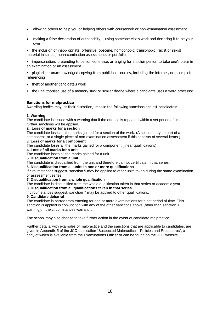- allowing others to help you or helping others with coursework or non-examination assessment
- making a false declaration of authenticity using someone else's work and declaring it to be your own

• the inclusion of inappropriate, offensive, obscene, homophobic, transphobic, racist or sexist material in scripts, non-examination assessments or portfolios

**•** impersonation: pretending to be someone else, arranging for another person to take one's place in an examination or an assessment

 plagiarism: unacknowledged copying from published sources, including the internet, or incomplete referencing

- theft of another candidate's work
- the unauthorised use of a memory stick or similar device where a candidate uses a word processor

# **Sanctions for malpractice**

Awarding bodies may, at their discretion, impose the following sanctions against candidates:

#### **1. Warning**

The candidate is issued with a warning that if the offence is repeated within a set period of time, further sanctions will be applied.

#### **2. Loss of marks for a section**

The candidate loses all the marks gained for a section of the work. (A section may be part of a component, or a single piece of non-examination assessment if this consists of several items.)

# **3. Loss of marks for a component**

The candidate loses all the marks gained for a component (linear qualifications)

#### **4. Loss of all marks for a unit**

The candidate loses all the marks gained for a unit.

**5. Disqualification from a unit** 

The candidate is disqualified from the unit and therefore cannot certificate in that series.

**6. Disqualification from all units in one or more qualifications** 

If circumstances suggest, sanction 5 may be applied to other units taken during the same examination or assessment series.

#### **7. Disqualification from a whole qualification**

The candidate is disqualified from the whole qualification taken in that series or academic year.

# **8. Disqualification from all qualifications taken in that series**

If circumstances suggest, sanction 7 may be applied to other qualifications.

#### **9. Candidate debarral**

The candidate is barred from entering for one or more examinations for a set period of time. This sanction is applied in conjunction with any of the other sanctions above (other than sanction 1 warning), if the circumstances warrant it.

The school may also choose to take further action in the event of candidate malpractice.

Further details, with examples of malpractice and the sanctions that are applicable to candidates, are given in Appendix 5 of the JCQ publication "Suspected Malpractice – Policies and Procedures", a copy of which is available from the Examinations Officer or can be found on the JCQ website.